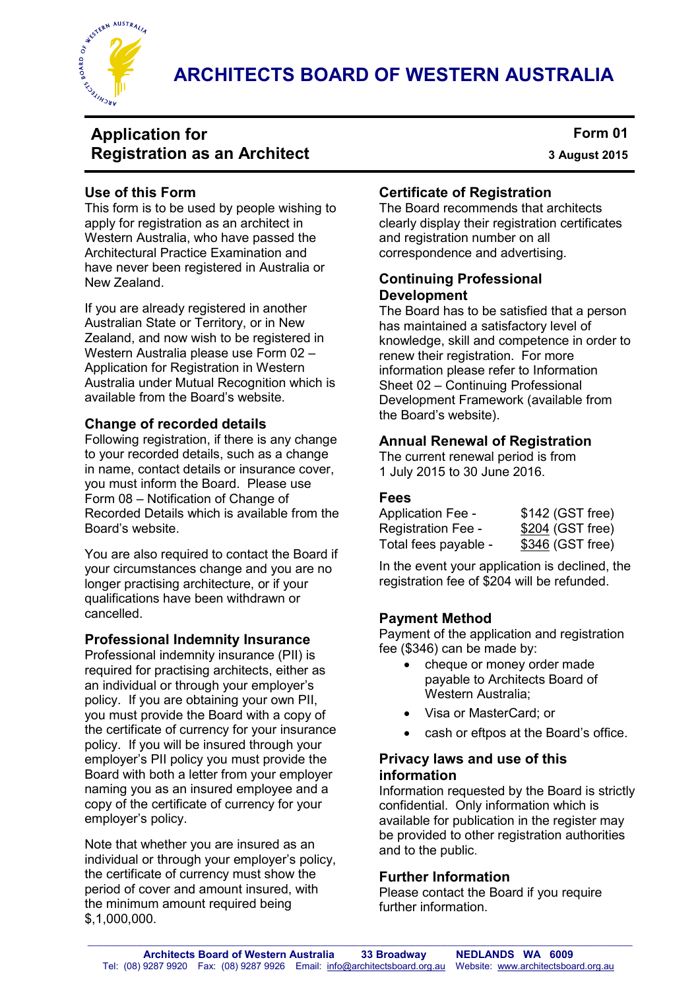

 **ARCHITECTS BOARD OF WESTERN AUSTRALIA** 

# **Application for Registration as an Architect**

**Form 01 3 August 2015**

### **Use of this Form**

This form is to be used by people wishing to apply for registration as an architect in Western Australia, who have passed the Architectural Practice Examination and have never been registered in Australia or New Zealand.

If you are already registered in another Australian State or Territory, or in New Zealand, and now wish to be registered in Western Australia please use Form 02 – Application for Registration in Western Australia under Mutual Recognition which is available from the Board's website.

### **Change of recorded details**

Following registration, if there is any change to your recorded details, such as a change in name, contact details or insurance cover, you must inform the Board. Please use Form 08 – Notification of Change of Recorded Details which is available from the Board's website.

You are also required to contact the Board if your circumstances change and you are no longer practising architecture, or if your qualifications have been withdrawn or cancelled.

#### **Professional Indemnity Insurance**

Professional indemnity insurance (PII) is required for practising architects, either as an individual or through your employer's policy. If you are obtaining your own PII, you must provide the Board with a copy of the certificate of currency for your insurance policy. If you will be insured through your employer's PII policy you must provide the Board with both a letter from your employer naming you as an insured employee and a copy of the certificate of currency for your employer's policy.

Note that whether you are insured as an individual or through your employer's policy, the certificate of currency must show the period of cover and amount insured, with the minimum amount required being \$,1,000,000.

### **Certificate of Registration**

The Board recommends that architects clearly display their registration certificates and registration number on all correspondence and advertising.

#### **Continuing Professional Development**

The Board has to be satisfied that a person has maintained a satisfactory level of knowledge, skill and competence in order to renew their registration. For more information please refer to Information Sheet 02 – Continuing Professional Development Framework (available from the Board's website).

### **Annual Renewal of Registration**

The current renewal period is from 1 July 2015 to 30 June 2016.

### **Fees**

| <b>Application Fee -</b> | \$142 (GST free) |
|--------------------------|------------------|
| Registration Fee -       | \$204 (GST free) |
| Total fees payable -     | \$346 (GST free) |

In the event your application is declined, the registration fee of \$204 will be refunded.

# **Payment Method**

Payment of the application and registration fee (\$346) can be made by:

- cheque or money order made payable to Architects Board of Western Australia;
- Visa or MasterCard; or
- cash or eftpos at the Board's office.

#### **Privacy laws and use of this information**

Information requested by the Board is strictly confidential. Only information which is available for publication in the register may be provided to other registration authorities and to the public.

#### **Further Information**

Please contact the Board if you require further information.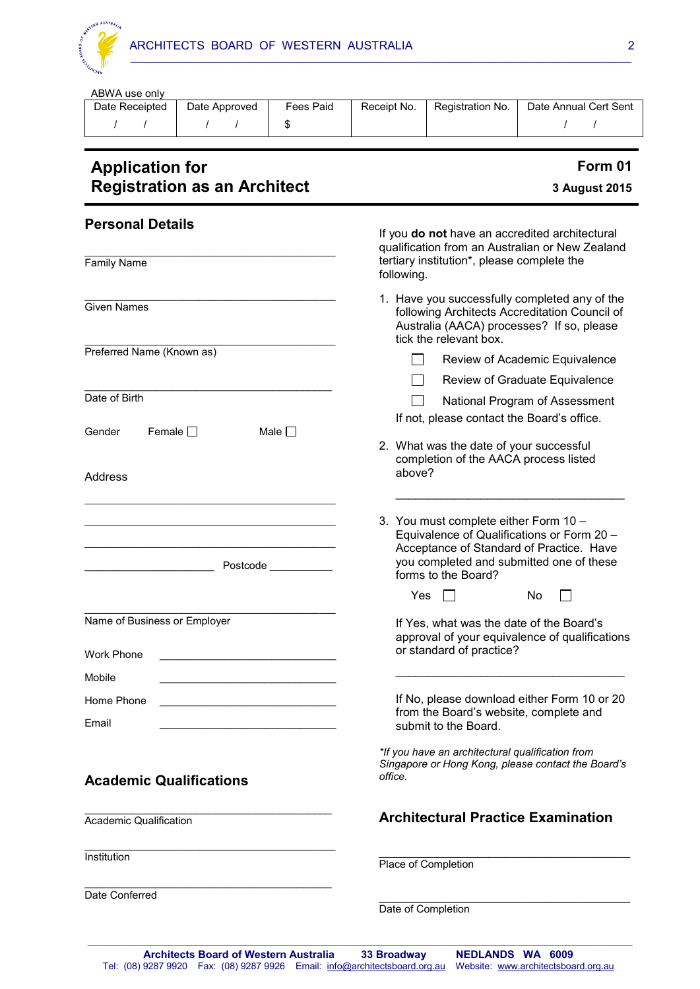

| ABWA use only<br>Date Receipted                     | Date Approved                       | <b>Fees Paid</b> | Receipt No.                                                                                                                                                                | Registration No.                                             | Date Annual Cert Sent                                                                                                              |  |
|-----------------------------------------------------|-------------------------------------|------------------|----------------------------------------------------------------------------------------------------------------------------------------------------------------------------|--------------------------------------------------------------|------------------------------------------------------------------------------------------------------------------------------------|--|
| $\sqrt{1}$                                          | $1 \quad 1$                         | \$               |                                                                                                                                                                            |                                                              | $\prime$<br>$\sqrt{ }$                                                                                                             |  |
| <b>Application for</b>                              | <b>Registration as an Architect</b> |                  |                                                                                                                                                                            |                                                              | Form 01<br>3 August 2015                                                                                                           |  |
| <b>Personal Details</b>                             |                                     |                  | If you do not have an accredited architectural<br>qualification from an Australian or New Zealand                                                                          |                                                              |                                                                                                                                    |  |
| <b>Family Name</b>                                  |                                     |                  | tertiary institution*, please complete the<br>following.                                                                                                                   |                                                              |                                                                                                                                    |  |
| <b>Given Names</b>                                  |                                     |                  | 1. Have you successfully completed any of the<br>following Architects Accreditation Council of<br>Australia (AACA) processes? If so, please<br>tick the relevant box.      |                                                              |                                                                                                                                    |  |
| Preferred Name (Known as)                           |                                     |                  |                                                                                                                                                                            |                                                              | Review of Academic Equivalence                                                                                                     |  |
|                                                     |                                     |                  |                                                                                                                                                                            |                                                              | Review of Graduate Equivalence                                                                                                     |  |
| Date of Birth<br>Female $\Box$<br>Gender<br>Address |                                     | Male $\Box$      | National Program of Assessment<br>If not, please contact the Board's office.<br>2. What was the date of your successful<br>completion of the AACA process listed<br>above? |                                                              |                                                                                                                                    |  |
| Postcode ____________                               |                                     |                  |                                                                                                                                                                            | 3. You must complete either Form 10 -<br>forms to the Board? | Equivalence of Qualifications or Form 20 -<br>Acceptance of Standard of Practice. Have<br>you completed and submitted one of these |  |
|                                                     |                                     |                  | Yes                                                                                                                                                                        |                                                              | No                                                                                                                                 |  |
| Name of Business or Employer                        |                                     |                  |                                                                                                                                                                            |                                                              | If Yes, what was the date of the Board's<br>approval of your equivalence of qualifications                                         |  |
| Work Phone                                          |                                     |                  |                                                                                                                                                                            | or standard of practice?                                     |                                                                                                                                    |  |
| Mobile                                              |                                     |                  |                                                                                                                                                                            |                                                              |                                                                                                                                    |  |
| Home Phone                                          |                                     |                  |                                                                                                                                                                            |                                                              | If No, please download either Form 10 or 20<br>from the Board's website, complete and                                              |  |

# **Academic Qualifications**

\_\_\_\_\_\_\_\_\_\_\_\_\_\_\_\_\_\_\_\_\_\_\_\_\_\_\_\_\_\_\_\_\_\_\_\_\_\_\_\_\_\_

\_\_\_\_\_\_\_\_\_\_\_\_\_\_\_\_\_\_\_\_\_\_\_\_\_\_\_\_\_\_\_\_\_\_\_\_\_\_\_\_\_\_\_\_\_\_\_\_

\_\_\_\_\_\_\_\_\_\_\_\_\_\_\_\_\_\_\_\_\_\_\_\_\_\_\_\_\_\_\_\_\_\_\_\_\_\_\_\_\_\_

Academic Qualification

**Institution** 

Email

Date Conferred

*Singapore or Hong Kong, please contact the Board's office.* 

*\*If you have an architectural qualification from* 

# **Architectural Practice Examination**

 $\_$  , and the set of the set of the set of the set of the set of the set of the set of the set of the set of the set of the set of the set of the set of the set of the set of the set of the set of the set of the set of th

\_\_\_\_\_\_\_\_\_\_\_\_\_\_\_\_\_\_\_\_\_\_\_\_\_\_\_\_\_\_\_\_\_\_\_\_\_\_\_\_\_\_\_\_\_\_\_\_

Place of Completion

submit to the Board.

Date of Completion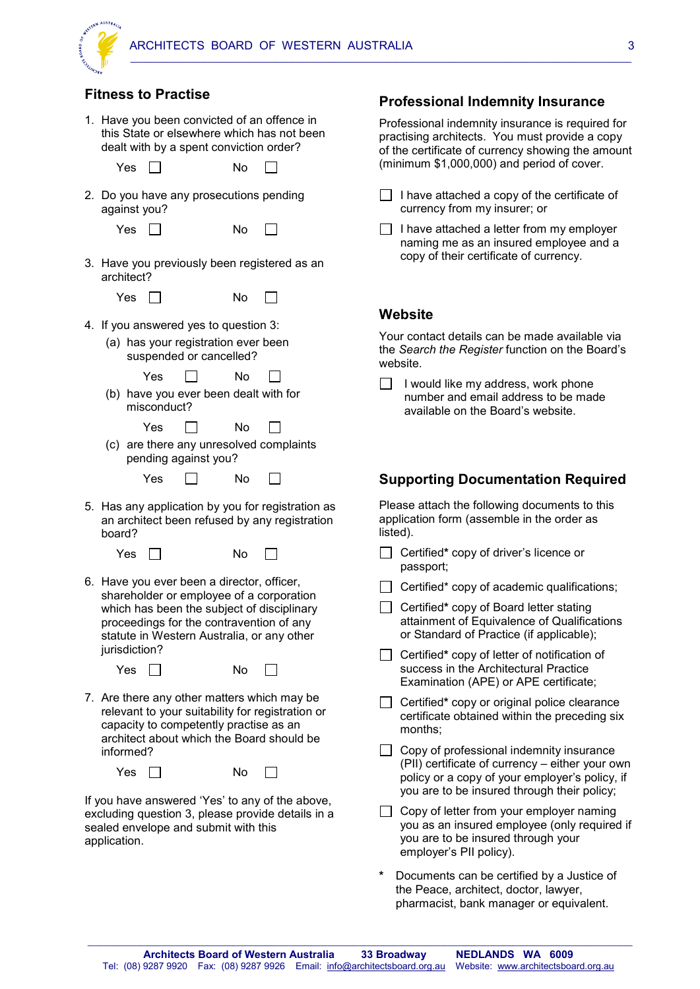

#### **Fitness to Practise**

|    |               |       |              | dealt with by a spent conviction order?                                                              |    | 1. Have you been convicted of an offence in<br>this State or elsewhere which has not been                                                                                        |  |
|----|---------------|-------|--------------|------------------------------------------------------------------------------------------------------|----|----------------------------------------------------------------------------------------------------------------------------------------------------------------------------------|--|
|    |               | Yes   |              |                                                                                                      | No |                                                                                                                                                                                  |  |
|    |               |       | against you? |                                                                                                      |    | 2. Do you have any prosecutions pending                                                                                                                                          |  |
|    |               | Yes   |              |                                                                                                      | No |                                                                                                                                                                                  |  |
|    | architect?    |       |              |                                                                                                      |    | 3. Have you previously been registered as an                                                                                                                                     |  |
|    |               |       | Yes II       |                                                                                                      | No |                                                                                                                                                                                  |  |
| 4. |               |       |              | If you answered yes to question 3:<br>(a) has your registration ever been<br>suspended or cancelled? |    |                                                                                                                                                                                  |  |
|    |               |       | Yes          |                                                                                                      | No |                                                                                                                                                                                  |  |
|    |               |       | misconduct?  | (b) have you ever been dealt with for                                                                |    |                                                                                                                                                                                  |  |
|    |               |       | Yes          |                                                                                                      | No |                                                                                                                                                                                  |  |
|    |               |       |              | pending against you?                                                                                 |    | (c) are there any unresolved complaints                                                                                                                                          |  |
|    |               |       | Yes          |                                                                                                      | No |                                                                                                                                                                                  |  |
| 5. | board?        |       |              |                                                                                                      |    | Has any application by you for registration as<br>an architect been refused by any registration                                                                                  |  |
|    |               | Yes I |              |                                                                                                      | No |                                                                                                                                                                                  |  |
|    | jurisdiction? |       |              | 6. Have you ever been a director, officer,                                                           |    | shareholder or employee of a corporation<br>which has been the subject of disciplinary<br>proceedings for the contravention of any<br>statute in Western Australia, or any other |  |
|    |               | Yes   |              |                                                                                                      | No |                                                                                                                                                                                  |  |
|    | informed?     |       |              | capacity to competently practise as an                                                               |    | 7. Are there any other matters which may be<br>relevant to your suitability for registration or<br>architect about which the Board should be                                     |  |
|    |               | Yes   |              |                                                                                                      | No |                                                                                                                                                                                  |  |
|    |               |       |              |                                                                                                      |    | If you have answered 'Yes' to any of the above,<br>excluding question 3, please provide details in a                                                                             |  |

sealed envelope and submit with this application.

# **Professional Indemnity Insurance**

Professional indemnity insurance is required for practising architects. You must provide a copy of the certificate of currency showing the amount (minimum \$1,000,000) and period of cover.

| I have attached a copy of the certificate of |
|----------------------------------------------|
| currency from my insurer; or                 |

| $\Box$ I have attached a letter from my employer |
|--------------------------------------------------|
| naming me as an insured employee and a           |
| copy of their certificate of currency.           |

#### **Website**

Your contact details can be made available via the *Search the Register* function on the Board's website.

 $\Box$  I would like my address, work phone number and email address to be made available on the Board's website.

#### **Supporting Documentation Required**

Please attach the following documents to this application form (assemble in the order as listed).

- Certified**\*** copy of driver's licence or passport;
- $\Box$  Certified\* copy of academic qualifications;

 Certified**\*** copy of Board letter stating attainment of Equivalence of Qualifications or Standard of Practice (if applicable);

- Certified**\*** copy of letter of notification of success in the Architectural Practice Examination (APE) or APE certificate;
- Certified**\*** copy or original police clearance certificate obtained within the preceding six months;
- $\Box$  Copy of professional indemnity insurance (PII) certificate of currency – either your own policy or a copy of your employer's policy, if you are to be insured through their policy;
- $\Box$  Copy of letter from your employer naming you as an insured employee (only required if you are to be insured through your employer's PII policy).
- **\*** Documents can be certified by a Justice of the Peace, architect, doctor, lawyer, pharmacist, bank manager or equivalent.